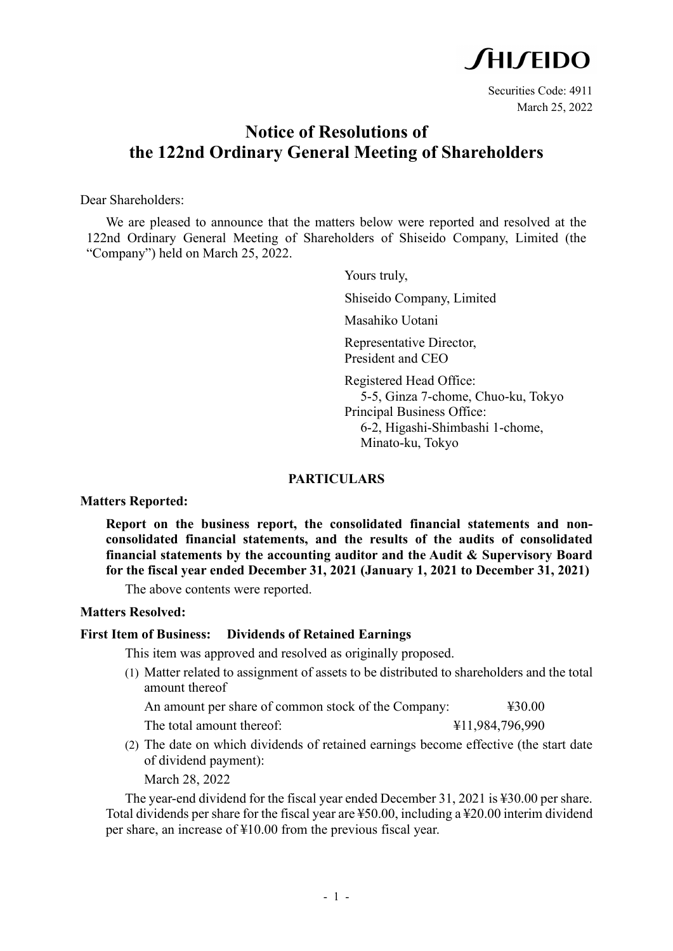

### **Notice of Resolutions of the 122nd Ordinary General Meeting of Shareholders**

Dear Shareholders:

We are pleased to announce that the matters below were reported and resolved at the 122nd Ordinary General Meeting of Shareholders of Shiseido Company, Limited (the "Company") held on March 25, 2022.

> Yours truly, Shiseido Company, Limited Masahiko Uotani Representative Director, President and CEO Registered Head Office: 5-5, Ginza 7-chome, Chuo-ku, Tokyo Principal Business Office: 6-2, Higashi-Shimbashi 1-chome, Minato-ku, Tokyo

#### **PARTICULARS**

**Matters Reported:**

**Report on the business report, the consolidated financial statements and nonconsolidated financial statements, and the results of the audits of consolidated financial statements by the accounting auditor and the Audit & Supervisory Board for the fiscal year ended December 31, 2021 (January 1, 2021 to December 31, 2021)**

The above contents were reported.

#### **Matters Resolved:**

#### **First Item of Business: Dividends of Retained Earnings**

This item was approved and resolved as originally proposed.

(1) Matter related to assignment of assets to be distributed to shareholders and the total amount thereof

An amount per share of common stock of the Company:  $\text{\#30.00}$ 

- The total amount thereof:  $\frac{411,984,796,990}{200}$
- (2) The date on which dividends of retained earnings become effective (the start date of dividend payment): March 28, 2022

The year-end dividend for the fiscal year ended December 31, 2021 is ¥30.00 per share. Total dividends per share for the fiscal year are ¥50.00, including a ¥20.00 interim dividend per share, an increase of ¥10.00 from the previous fiscal year.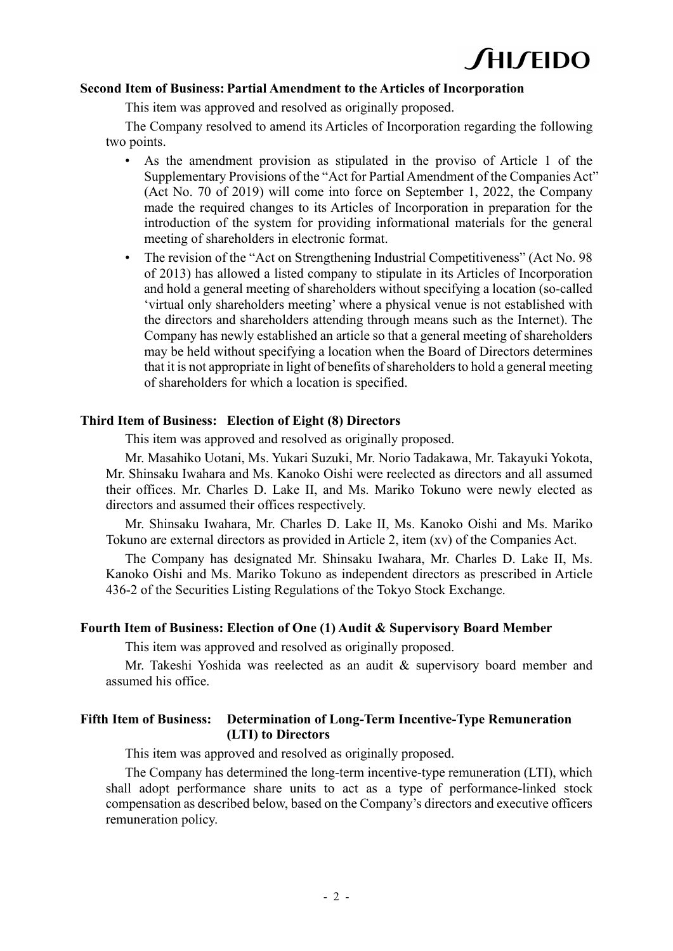### **CHICEIDO**

#### **Second Item of Business: Partial Amendment to the Articles of Incorporation**

This item was approved and resolved as originally proposed.

The Company resolved to amend its Articles of Incorporation regarding the following two points.

- As the amendment provision as stipulated in the proviso of Article 1 of the Supplementary Provisions of the "Act for Partial Amendment of the Companies Act" (Act No. 70 of 2019) will come into force on September 1, 2022, the Company made the required changes to its Articles of Incorporation in preparation for the introduction of the system for providing informational materials for the general meeting of shareholders in electronic format.
- The revision of the "Act on Strengthening Industrial Competitiveness" (Act No. 98) of 2013) has allowed a listed company to stipulate in its Articles of Incorporation and hold a general meeting of shareholders without specifying a location (so-called 'virtual only shareholders meeting' where a physical venue is not established with the directors and shareholders attending through means such as the Internet). The Company has newly established an article so that a general meeting of shareholders may be held without specifying a location when the Board of Directors determines that it is not appropriate in light of benefits of shareholders to hold a general meeting of shareholders for which a location is specified.

#### **Third Item of Business: Election of Eight (8) Directors**

This item was approved and resolved as originally proposed.

Mr. Masahiko Uotani, Ms. Yukari Suzuki, Mr. Norio Tadakawa, Mr. Takayuki Yokota, Mr. Shinsaku Iwahara and Ms. Kanoko Oishi were reelected as directors and all assumed their offices. Mr. Charles D. Lake II, and Ms. Mariko Tokuno were newly elected as directors and assumed their offices respectively.

Mr. Shinsaku Iwahara, Mr. Charles D. Lake II, Ms. Kanoko Oishi and Ms. Mariko Tokuno are external directors as provided in Article 2, item (xv) of the Companies Act.

The Company has designated Mr. Shinsaku Iwahara, Mr. Charles D. Lake II, Ms. Kanoko Oishi and Ms. Mariko Tokuno as independent directors as prescribed in Article 436-2 of the Securities Listing Regulations of the Tokyo Stock Exchange.

#### **Fourth Item of Business: Election of One (1) Audit & Supervisory Board Member**

This item was approved and resolved as originally proposed.

Mr. Takeshi Yoshida was reelected as an audit & supervisory board member and assumed his office.

#### **Fifth Item of Business: Determination of Long-Term Incentive-Type Remuneration (LTI) to Directors**

This item was approved and resolved as originally proposed.

The Company has determined the long-term incentive-type remuneration (LTI), which shall adopt performance share units to act as a type of performance-linked stock compensation as described below, based on the Company's directors and executive officers remuneration policy.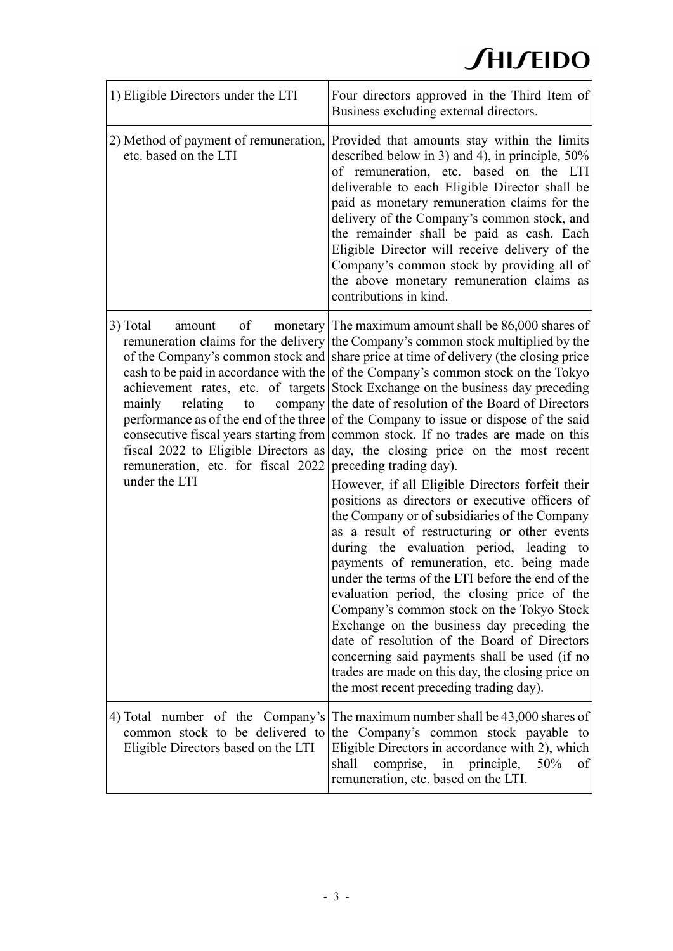| 1) Eligible Directors under the LTI                                                                                                                                                           | Four directors approved in the Third Item of<br>Business excluding external directors.                                                                                                                                                                                                                                                                                                                                                                                                                                                                                                                                                                                                                                                                                                                                                                                                                                                                                                                                                                                                                                                                                                                                                                                                                                                                                                 |
|-----------------------------------------------------------------------------------------------------------------------------------------------------------------------------------------------|----------------------------------------------------------------------------------------------------------------------------------------------------------------------------------------------------------------------------------------------------------------------------------------------------------------------------------------------------------------------------------------------------------------------------------------------------------------------------------------------------------------------------------------------------------------------------------------------------------------------------------------------------------------------------------------------------------------------------------------------------------------------------------------------------------------------------------------------------------------------------------------------------------------------------------------------------------------------------------------------------------------------------------------------------------------------------------------------------------------------------------------------------------------------------------------------------------------------------------------------------------------------------------------------------------------------------------------------------------------------------------------|
| 2) Method of payment of remuneration,<br>etc. based on the LTI                                                                                                                                | Provided that amounts stay within the limits<br>described below in 3) and 4), in principle, $50\%$<br>of remuneration, etc. based on the LTI<br>deliverable to each Eligible Director shall be<br>paid as monetary remuneration claims for the<br>delivery of the Company's common stock, and<br>the remainder shall be paid as cash. Each<br>Eligible Director will receive delivery of the<br>Company's common stock by providing all of<br>the above monetary remuneration claims as<br>contributions in kind.                                                                                                                                                                                                                                                                                                                                                                                                                                                                                                                                                                                                                                                                                                                                                                                                                                                                      |
| 3) Total<br>of<br>amount<br>relating<br>mainly<br>to<br>consecutive fiscal years starting from<br>fiscal 2022 to Eligible Directors as<br>remuneration, etc. for fiscal 2022<br>under the LTI | monetary The maximum amount shall be 86,000 shares of<br>remuneration claims for the delivery the Company's common stock multiplied by the<br>of the Company's common stock and share price at time of delivery (the closing price<br>cash to be paid in accordance with the of the Company's common stock on the Tokyo<br>achievement rates, etc. of targets Stock Exchange on the business day preceding<br>company the date of resolution of the Board of Directors<br>performance as of the end of the three of the Company to issue or dispose of the said<br>common stock. If no trades are made on this<br>day, the closing price on the most recent<br>preceding trading day).<br>However, if all Eligible Directors forfeit their<br>positions as directors or executive officers of<br>the Company or of subsidiaries of the Company<br>as a result of restructuring or other events<br>during the evaluation period, leading to<br>payments of remuneration, etc. being made<br>under the terms of the LTI before the end of the<br>evaluation period, the closing price of the<br>Company's common stock on the Tokyo Stock<br>Exchange on the business day preceding the<br>date of resolution of the Board of Directors<br>concerning said payments shall be used (if no<br>trades are made on this day, the closing price on<br>the most recent preceding trading day). |
| common stock to be delivered to<br>Eligible Directors based on the LTI                                                                                                                        | 4) Total number of the Company's The maximum number shall be 43,000 shares of<br>the Company's common stock payable to<br>Eligible Directors in accordance with 2), which<br>shall<br>comprise, in principle,<br>50%<br>of<br>remuneration, etc. based on the LTI.                                                                                                                                                                                                                                                                                                                                                                                                                                                                                                                                                                                                                                                                                                                                                                                                                                                                                                                                                                                                                                                                                                                     |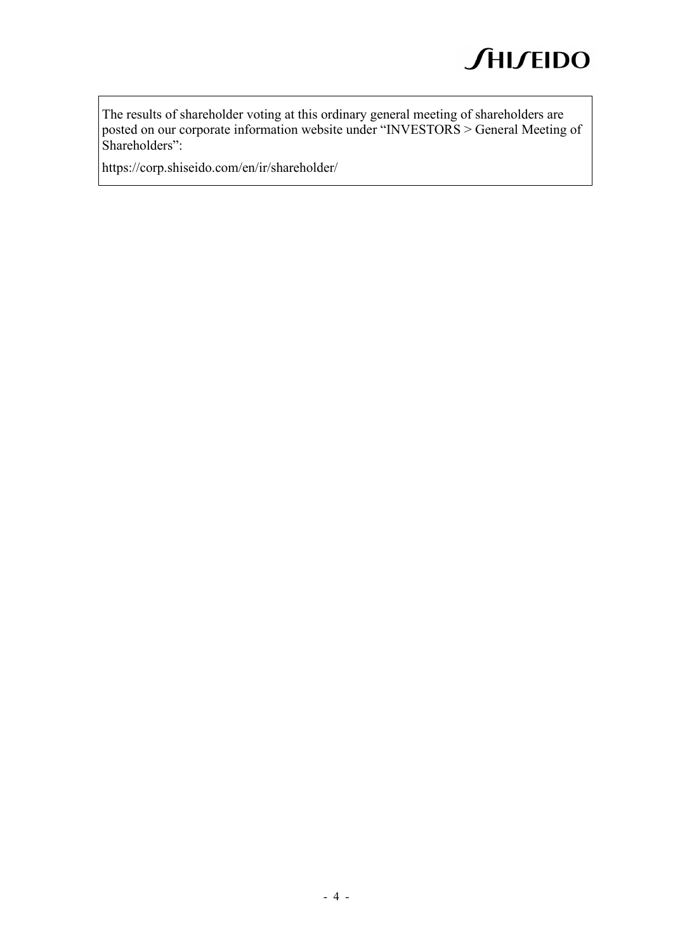The results of shareholder voting at this ordinary general meeting of shareholders are posted on our corporate information website under "INVESTORS > General Meeting of Shareholders":

https://corp.shiseido.com/en/ir/shareholder/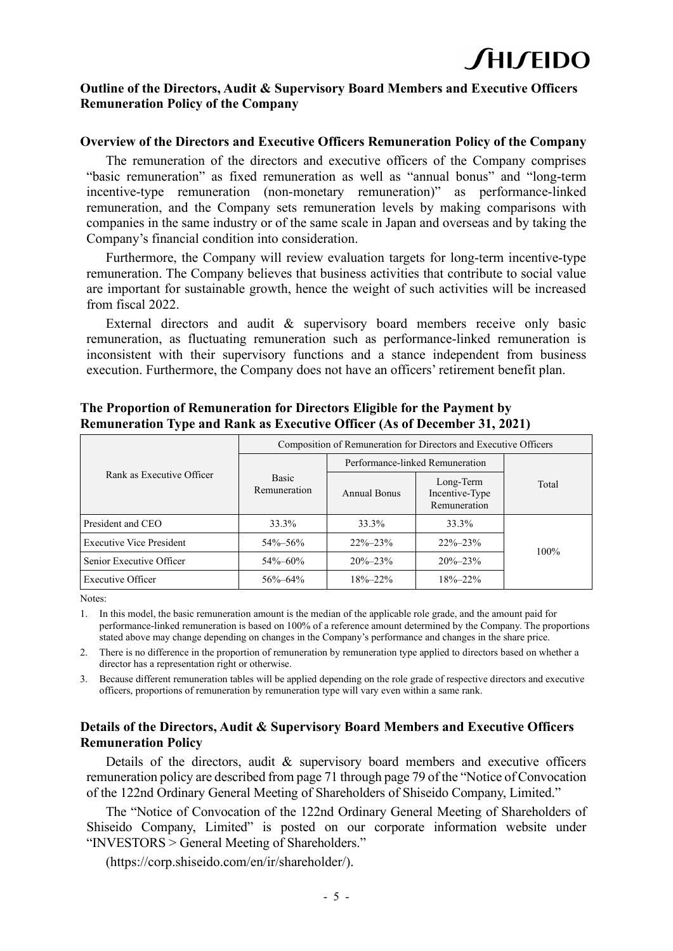#### **Outline of the Directors, Audit & Supervisory Board Members and Executive Officers Remuneration Policy of the Company**

#### **Overview of the Directors and Executive Officers Remuneration Policy of the Company**

The remuneration of the directors and executive officers of the Company comprises "basic remuneration" as fixed remuneration as well as "annual bonus" and "long-term incentive-type remuneration (non-monetary remuneration)" as performance-linked remuneration, and the Company sets remuneration levels by making comparisons with companies in the same industry or of the same scale in Japan and overseas and by taking the Company's financial condition into consideration.

Furthermore, the Company will review evaluation targets for long-term incentive-type remuneration. The Company believes that business activities that contribute to social value are important for sustainable growth, hence the weight of such activities will be increased from fiscal 2022.

External directors and audit & supervisory board members receive only basic remuneration, as fluctuating remuneration such as performance-linked remuneration is inconsistent with their supervisory functions and a stance independent from business execution. Furthermore, the Company does not have an officers' retirement benefit plan.

| Rank as Executive Officer       | Composition of Remuneration for Directors and Executive Officers |                                 |                                             |       |  |
|---------------------------------|------------------------------------------------------------------|---------------------------------|---------------------------------------------|-------|--|
|                                 |                                                                  | Performance-linked Remuneration |                                             |       |  |
|                                 | <b>Basic</b><br>Remuneration                                     | <b>Annual Bonus</b>             | Long-Term<br>Incentive-Type<br>Remuneration | Total |  |
| President and CEO               | 33.3%                                                            | 33.3%                           | 33.3%                                       |       |  |
| <b>Executive Vice President</b> | 54%-56%                                                          | $22\% - 23\%$                   | $22\% - 23\%$                               |       |  |
| Senior Executive Officer        | 54%-60%                                                          | $20\% - 23\%$                   | $20\% - 23\%$                               | 100%  |  |
| <b>Executive Officer</b>        | 56%-64%                                                          | $18\% - 22\%$                   | $18\% - 22\%$                               |       |  |

#### **The Proportion of Remuneration for Directors Eligible for the Payment by Remuneration Type and Rank as Executive Officer (As of December 31, 2021)**

Notes:

1. In this model, the basic remuneration amount is the median of the applicable role grade, and the amount paid for performance-linked remuneration is based on 100% of a reference amount determined by the Company. The proportions stated above may change depending on changes in the Company's performance and changes in the share price.

2. There is no difference in the proportion of remuneration by remuneration type applied to directors based on whether a director has a representation right or otherwise.

3. Because different remuneration tables will be applied depending on the role grade of respective directors and executive officers, proportions of remuneration by remuneration type will vary even within a same rank.

#### **Details of the Directors, Audit & Supervisory Board Members and Executive Officers Remuneration Policy**

Details of the directors, audit & supervisory board members and executive officers remuneration policy are described from page 71 through page 79 of the "Notice of Convocation of the 122nd Ordinary General Meeting of Shareholders of Shiseido Company, Limited."

The "Notice of Convocation of the 122nd Ordinary General Meeting of Shareholders of Shiseido Company, Limited" is posted on our corporate information website under "INVESTORS > General Meeting of Shareholders."

(https://corp.shiseido.com/en/ir/shareholder/).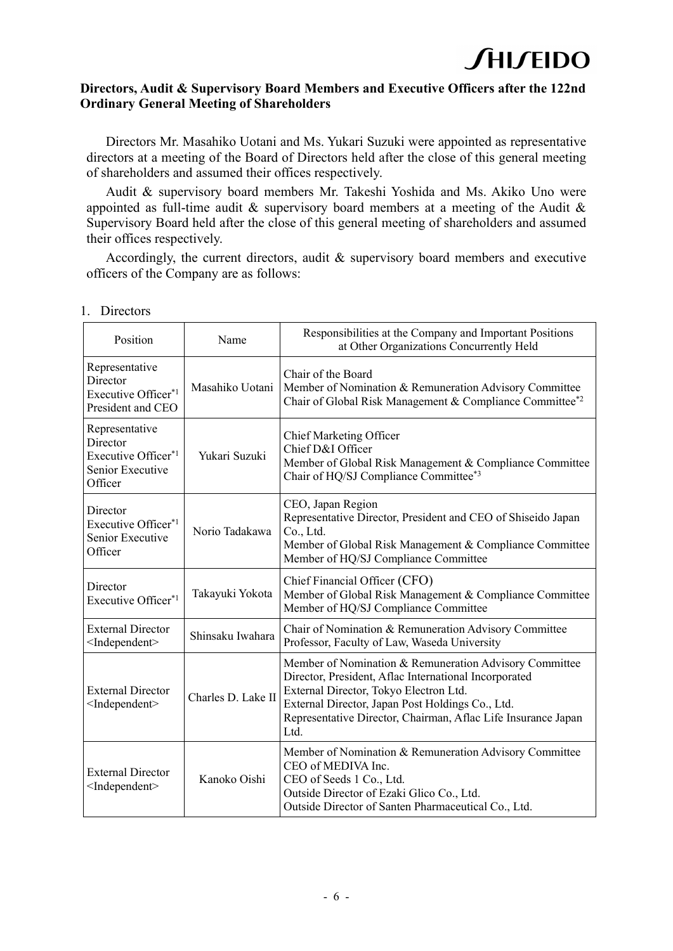#### **Directors, Audit & Supervisory Board Members and Executive Officers after the 122nd Ordinary General Meeting of Shareholders**

Directors Mr. Masahiko Uotani and Ms. Yukari Suzuki were appointed as representative directors at a meeting of the Board of Directors held after the close of this general meeting of shareholders and assumed their offices respectively.

Audit & supervisory board members Mr. Takeshi Yoshida and Ms. Akiko Uno were appointed as full-time audit & supervisory board members at a meeting of the Audit & Supervisory Board held after the close of this general meeting of shareholders and assumed their offices respectively.

Accordingly, the current directors, audit & supervisory board members and executive officers of the Company are as follows:

| Position                                                                                     | Name               | Responsibilities at the Company and Important Positions<br>at Other Organizations Concurrently Held                                                                                                                                                                                    |
|----------------------------------------------------------------------------------------------|--------------------|----------------------------------------------------------------------------------------------------------------------------------------------------------------------------------------------------------------------------------------------------------------------------------------|
| Representative<br>Director<br>Executive Officer <sup>*1</sup><br>President and CEO           | Masahiko Uotani    | Chair of the Board<br>Member of Nomination & Remuneration Advisory Committee<br>Chair of Global Risk Management & Compliance Committee*2                                                                                                                                               |
| Representative<br>Director<br>Executive Officer <sup>*1</sup><br>Senior Executive<br>Officer | Yukari Suzuki      | <b>Chief Marketing Officer</b><br>Chief D&I Officer<br>Member of Global Risk Management & Compliance Committee<br>Chair of HQ/SJ Compliance Committee*3                                                                                                                                |
| Director<br>Executive Officer*1<br>Senior Executive<br>Officer                               | Norio Tadakawa     | CEO, Japan Region<br>Representative Director, President and CEO of Shiseido Japan<br>Co., Ltd.<br>Member of Global Risk Management & Compliance Committee<br>Member of HQ/SJ Compliance Committee                                                                                      |
| Director<br>Executive Officer*1                                                              | Takayuki Yokota    | Chief Financial Officer (CFO)<br>Member of Global Risk Management & Compliance Committee<br>Member of HQ/SJ Compliance Committee                                                                                                                                                       |
| <b>External Director</b><br><independent></independent>                                      | Shinsaku Iwahara   | Chair of Nomination & Remuneration Advisory Committee<br>Professor, Faculty of Law, Waseda University                                                                                                                                                                                  |
| <b>External Director</b><br><independent></independent>                                      | Charles D. Lake II | Member of Nomination & Remuneration Advisory Committee<br>Director, President, Aflac International Incorporated<br>External Director, Tokyo Electron Ltd.<br>External Director, Japan Post Holdings Co., Ltd.<br>Representative Director, Chairman, Aflac Life Insurance Japan<br>Ltd. |
| <b>External Director</b><br><independent></independent>                                      | Kanoko Oishi       | Member of Nomination & Remuneration Advisory Committee<br>CEO of MEDIVA Inc.<br>CEO of Seeds 1 Co., Ltd.<br>Outside Director of Ezaki Glico Co., Ltd.<br>Outside Director of Santen Pharmaceutical Co., Ltd.                                                                           |

1. Directors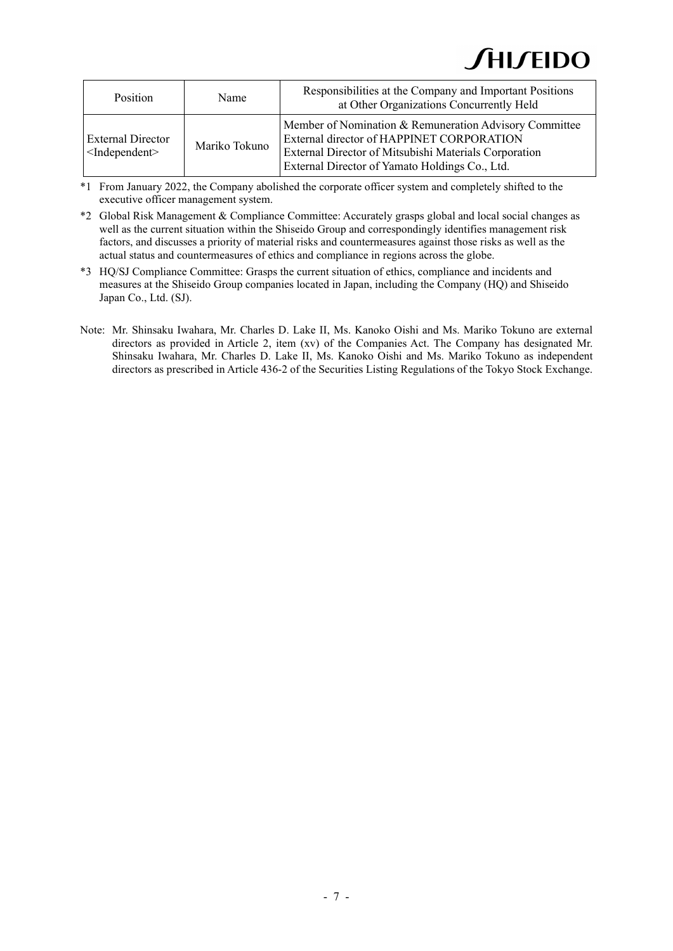| <b>Position</b>                                       | Name          | Responsibilities at the Company and Important Positions<br>at Other Organizations Concurrently Held                                                                                                            |
|-------------------------------------------------------|---------------|----------------------------------------------------------------------------------------------------------------------------------------------------------------------------------------------------------------|
| <b>External Director</b><br>$\leq$ Independent $\geq$ | Mariko Tokuno | Member of Nomination & Remuneration Advisory Committee<br>External director of HAPPINET CORPORATION<br>External Director of Mitsubishi Materials Corporation<br>External Director of Yamato Holdings Co., Ltd. |

\*1 From January 2022, the Company abolished the corporate officer system and completely shifted to the executive officer management system.

- \*2 Global Risk Management & Compliance Committee: Accurately grasps global and local social changes as well as the current situation within the Shiseido Group and correspondingly identifies management risk factors, and discusses a priority of material risks and countermeasures against those risks as well as the actual status and countermeasures of ethics and compliance in regions across the globe.
- \*3 HQ/SJ Compliance Committee: Grasps the current situation of ethics, compliance and incidents and measures at the Shiseido Group companies located in Japan, including the Company (HQ) and Shiseido Japan Co., Ltd. (SJ).
- Note: Mr. Shinsaku Iwahara, Mr. Charles D. Lake II, Ms. Kanoko Oishi and Ms. Mariko Tokuno are external directors as provided in Article 2, item (xv) of the Companies Act. The Company has designated Mr. Shinsaku Iwahara, Mr. Charles D. Lake II, Ms. Kanoko Oishi and Ms. Mariko Tokuno as independent directors as prescribed in Article 436-2 of the Securities Listing Regulations of the Tokyo Stock Exchange.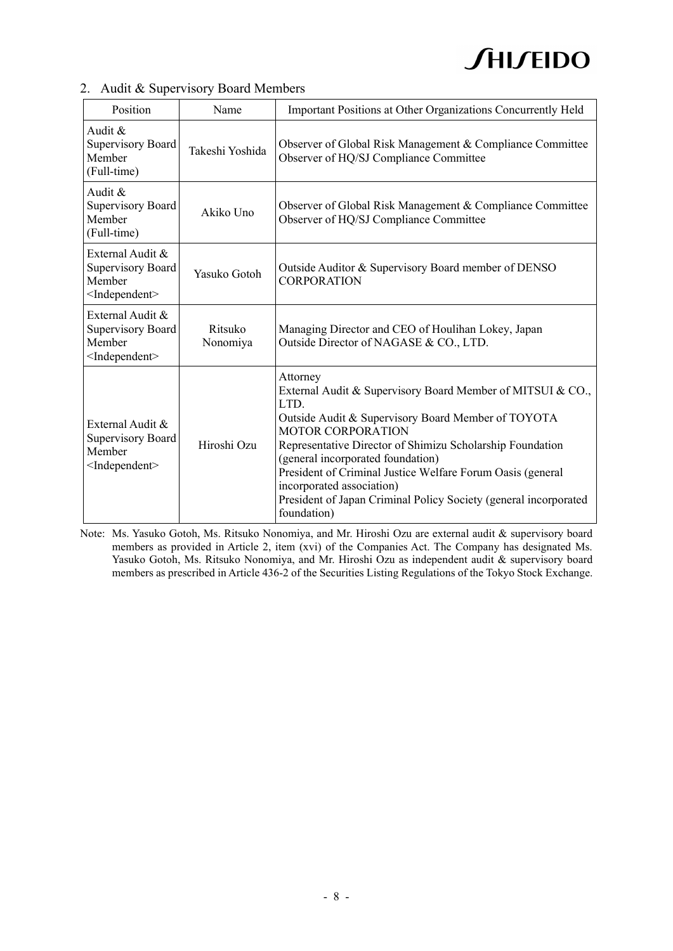|  |  |  |  |  |  | 2. Audit & Supervisory Board Members |
|--|--|--|--|--|--|--------------------------------------|
|--|--|--|--|--|--|--------------------------------------|

| Position                                                                              | Name                | Important Positions at Other Organizations Concurrently Held                                                                                                                                                                                                                                                                                                                                                                                     |
|---------------------------------------------------------------------------------------|---------------------|--------------------------------------------------------------------------------------------------------------------------------------------------------------------------------------------------------------------------------------------------------------------------------------------------------------------------------------------------------------------------------------------------------------------------------------------------|
| Audit &<br><b>Supervisory Board</b><br>Member<br>(Full-time)                          | Takeshi Yoshida     | Observer of Global Risk Management & Compliance Committee<br>Observer of HQ/SJ Compliance Committee                                                                                                                                                                                                                                                                                                                                              |
| Audit &<br><b>Supervisory Board</b><br>Member<br>(Full-time)                          | Akiko Uno           | Observer of Global Risk Management & Compliance Committee<br>Observer of HQ/SJ Compliance Committee                                                                                                                                                                                                                                                                                                                                              |
| External Audit &<br><b>Supervisory Board</b><br>Member<br><independent></independent> | Yasuko Gotoh        | Outside Auditor & Supervisory Board member of DENSO<br><b>CORPORATION</b>                                                                                                                                                                                                                                                                                                                                                                        |
| External Audit &<br><b>Supervisory Board</b><br>Member<br><independent></independent> | Ritsuko<br>Nonomiya | Managing Director and CEO of Houlihan Lokey, Japan<br>Outside Director of NAGASE & CO., LTD.                                                                                                                                                                                                                                                                                                                                                     |
| External Audit &<br><b>Supervisory Board</b><br>Member<br>$\leq$ Independent $\geq$   | Hiroshi Ozu         | Attorney<br>External Audit & Supervisory Board Member of MITSUI & CO.,<br>LTD.<br>Outside Audit & Supervisory Board Member of TOYOTA<br><b>MOTOR CORPORATION</b><br>Representative Director of Shimizu Scholarship Foundation<br>(general incorporated foundation)<br>President of Criminal Justice Welfare Forum Oasis (general<br>incorporated association)<br>President of Japan Criminal Policy Society (general incorporated<br>foundation) |

Note: Ms. Yasuko Gotoh, Ms. Ritsuko Nonomiya, and Mr. Hiroshi Ozu are external audit & supervisory board members as provided in Article 2, item (xvi) of the Companies Act. The Company has designated Ms. Yasuko Gotoh, Ms. Ritsuko Nonomiya, and Mr. Hiroshi Ozu as independent audit & supervisory board members as prescribed in Article 436-2 of the Securities Listing Regulations of the Tokyo Stock Exchange.